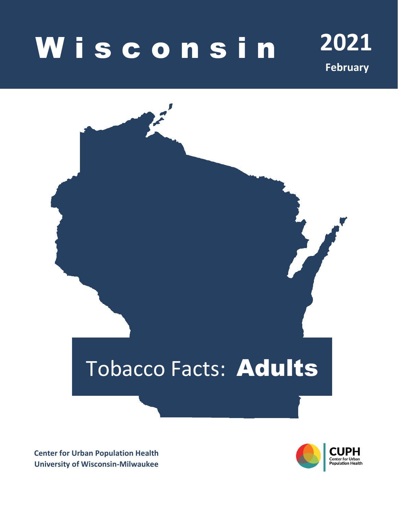# **Wisconsin** 2021

**February**

# Tobacco Facts: Adults

**Center for Urban Population Health University of Wisconsin-Milwaukee**

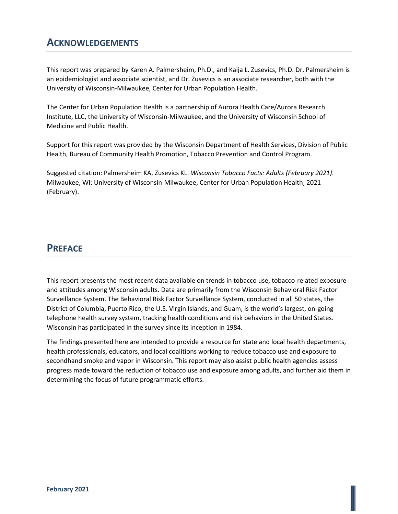# **ACKNOWLEDGEMENTS**

This report was prepared by Karen A. Palmersheim, Ph.D., and Kaija L. Zusevics, Ph.D. Dr. Palmersheim is an epidemiologist and associate scientist, and Dr. Zusevics is an associate researcher, both with the University of Wisconsin-Milwaukee, Center for Urban Population Health.

The Center for Urban Population Health is a partnership of Aurora Health Care/Aurora Research Institute, LLC, the University of Wisconsin-Milwaukee, and the University of Wisconsin School of Medicine and Public Health.

Support for this report was provided by the Wisconsin Department of Health Services, Division of Public Health, Bureau of Community Health Promotion, Tobacco Prevention and Control Program.

Suggested citation: Palmersheim KA, Zusevics KL. *Wisconsin Tobacco Facts: Adults (February 2021)*. Milwaukee, WI: University of Wisconsin-Milwaukee, Center for Urban Population Health; 2021 (February).

## **PREFACE**

This report presents the most recent data available on trends in tobacco use, tobacco-related exposure and attitudes among Wisconsin adults. Data are primarily from the Wisconsin Behavioral Risk Factor Surveillance System. The Behavioral Risk Factor Surveillance System, conducted in all 50 states, the District of Columbia, Puerto Rico, the U.S. Virgin Islands, and Guam, is the world's largest, on-going telephone health survey system, tracking health conditions and risk behaviors in the United States. Wisconsin has participated in the survey since its inception in 1984.

The findings presented here are intended to provide a resource for state and local health departments, health professionals, educators, and local coalitions working to reduce tobacco use and exposure to secondhand smoke and vapor in Wisconsin. This report may also assist public health agencies assess progress made toward the reduction of tobacco use and exposure among adults, and further aid them in determining the focus of future programmatic efforts.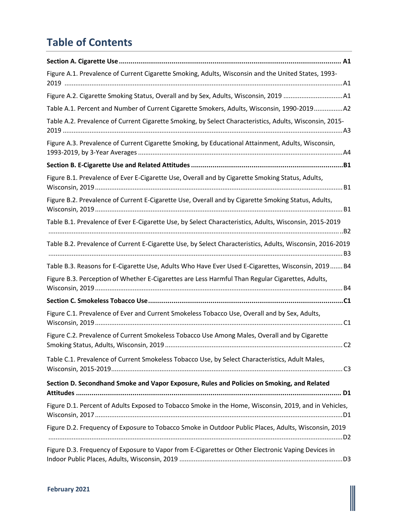# **Table of Contents**

| Figure A.1. Prevalence of Current Cigarette Smoking, Adults, Wisconsin and the United States, 1993-                                             |
|-------------------------------------------------------------------------------------------------------------------------------------------------|
|                                                                                                                                                 |
| Table A.1. Percent and Number of Current Cigarette Smokers, Adults, Wisconsin, 1990-2019A2                                                      |
| Table A.2. Prevalence of Current Cigarette Smoking, by Select Characteristics, Adults, Wisconsin, 2015-                                         |
| Figure A.3. Prevalence of Current Cigarette Smoking, by Educational Attainment, Adults, Wisconsin,                                              |
|                                                                                                                                                 |
| Figure B.1. Prevalence of Ever E-Cigarette Use, Overall and by Cigarette Smoking Status, Adults,                                                |
| Figure B.2. Prevalence of Current E-Cigarette Use, Overall and by Cigarette Smoking Status, Adults,                                             |
| Table B.1. Prevalence of Ever E-Cigarette Use, by Select Characteristics, Adults, Wisconsin, 2015-2019                                          |
| Table B.2. Prevalence of Current E-Cigarette Use, by Select Characteristics, Adults, Wisconsin, 2016-2019                                       |
| Table B.3. Reasons for E-Cigarette Use, Adults Who Have Ever Used E-Cigarettes, Wisconsin, 2019 B4                                              |
| Figure B.3. Perception of Whether E-Cigarettes are Less Harmful Than Regular Cigarettes, Adults,                                                |
|                                                                                                                                                 |
| Figure C.1. Prevalence of Ever and Current Smokeless Tobacco Use, Overall and by Sex, Adults,                                                   |
| Figure C.2. Prevalence of Current Smokeless Tobacco Use Among Males, Overall and by Cigarette<br>Smoking Status, Adults, Wisconsin, 2019.<br>C2 |
| Table C.1. Prevalence of Current Smokeless Tobacco Use, by Select Characteristics, Adult Males,                                                 |
| Section D. Secondhand Smoke and Vapor Exposure, Rules and Policies on Smoking, and Related                                                      |
| Figure D.1. Percent of Adults Exposed to Tobacco Smoke in the Home, Wisconsin, 2019, and in Vehicles,                                           |
| Figure D.2. Frequency of Exposure to Tobacco Smoke in Outdoor Public Places, Adults, Wisconsin, 2019                                            |
| Figure D.3. Frequency of Exposure to Vapor from E-Cigarettes or Other Electronic Vaping Devices in                                              |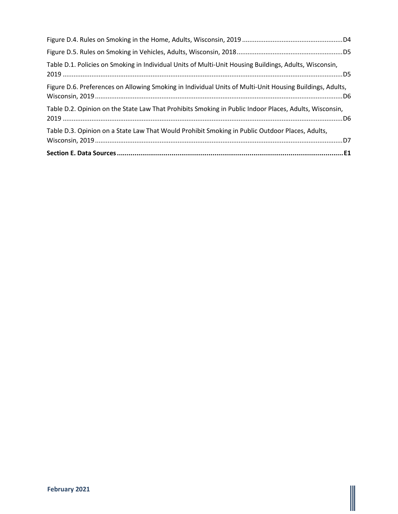| Table D.3. Opinion on a State Law That Would Prohibit Smoking in Public Outdoor Places, Adults,          |
|----------------------------------------------------------------------------------------------------------|
| Table D.2. Opinion on the State Law That Prohibits Smoking in Public Indoor Places, Adults, Wisconsin,   |
| Figure D.6. Preferences on Allowing Smoking in Individual Units of Multi-Unit Housing Buildings, Adults, |
| Table D.1. Policies on Smoking in Individual Units of Multi-Unit Housing Buildings, Adults, Wisconsin,   |
|                                                                                                          |
|                                                                                                          |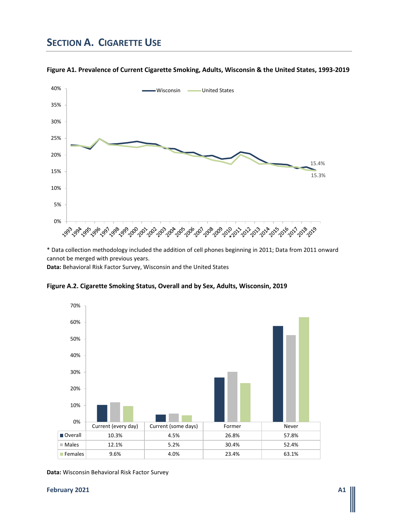# **SECTION A. CIGARETTE USE**



**Figure A1. Prevalence of Current Cigarette Smoking, Adults, Wisconsin & the United States, 1993-2019**

\* Data collection methodology included the addition of cell phones beginning in 2011; Data from 2011 onward cannot be merged with previous years.

**Data:** Behavioral Risk Factor Survey, Wisconsin and the United States





**Data:** Wisconsin Behavioral Risk Factor Survey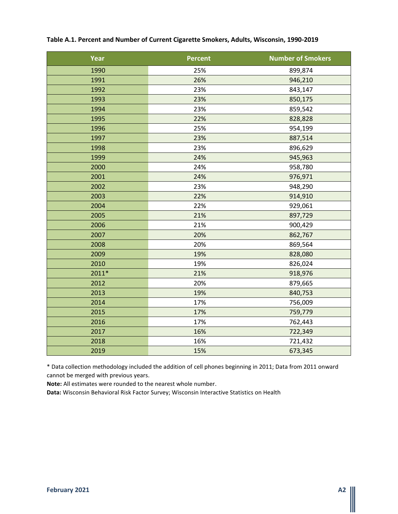| <b>Year</b> | <b>Percent</b> | <b>Number of Smokers</b> |
|-------------|----------------|--------------------------|
| 1990        | 25%            | 899,874                  |
| 1991        | 26%            | 946,210                  |
| 1992        | 23%            | 843,147                  |
| 1993        | 23%            | 850,175                  |
| 1994        | 23%            | 859,542                  |
| 1995        | 22%            | 828,828                  |
| 1996        | 25%            | 954,199                  |
| 1997        | 23%            | 887,514                  |
| 1998        | 23%            | 896,629                  |
| 1999        | 24%            | 945,963                  |
| 2000        | 24%            | 958,780                  |
| 2001        | 24%            | 976,971                  |
| 2002        | 23%            | 948,290                  |
| 2003        | 22%            | 914,910                  |
| 2004        | 22%            | 929,061                  |
| 2005        | 21%            | 897,729                  |
| 2006        | 21%            | 900,429                  |
| 2007        | 20%            | 862,767                  |
| 2008        | 20%            | 869,564                  |
| 2009        | 19%            | 828,080                  |
| 2010        | 19%            | 826,024                  |
| $2011*$     | 21%            | 918,976                  |
| 2012        | 20%            | 879,665                  |
| 2013        | 19%            | 840,753                  |
| 2014        | 17%            | 756,009                  |
| 2015        | 17%            | 759,779                  |
| 2016        | 17%            | 762,443                  |
| 2017        | 16%            | 722,349                  |
| 2018        | 16%            | 721,432                  |
| 2019        | 15%            | 673,345                  |

### **Table A.1. Percent and Number of Current Cigarette Smokers, Adults, Wisconsin, 1990-2019**

\* Data collection methodology included the addition of cell phones beginning in 2011; Data from 2011 onward cannot be merged with previous years.

**Note:** All estimates were rounded to the nearest whole number.

**Data:** Wisconsin Behavioral Risk Factor Survey; Wisconsin Interactive Statistics on Health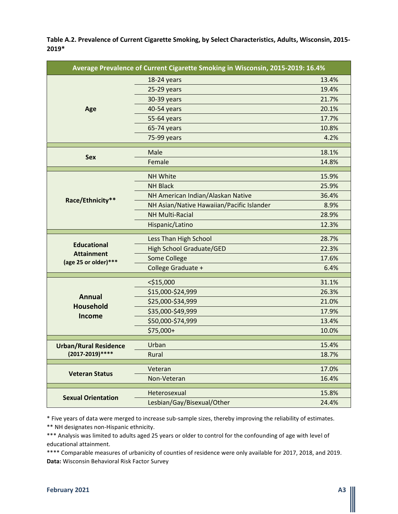**Table A.2. Prevalence of Current Cigarette Smoking, by Select Characteristics, Adults, Wisconsin, 2015- 2019\***

| Average Prevalence of Current Cigarette Smoking in Wisconsin, 2015-2019: 16.4% |                                           |       |
|--------------------------------------------------------------------------------|-------------------------------------------|-------|
|                                                                                | 18-24 years                               | 13.4% |
|                                                                                | 25-29 years                               | 19.4% |
|                                                                                | 30-39 years                               | 21.7% |
| Age                                                                            | 40-54 years                               | 20.1% |
|                                                                                | 55-64 years                               | 17.7% |
|                                                                                | 65-74 years                               | 10.8% |
|                                                                                | 75-99 years                               | 4.2%  |
|                                                                                | Male                                      | 18.1% |
| <b>Sex</b>                                                                     | Female                                    | 14.8% |
|                                                                                | <b>NH White</b>                           | 15.9% |
|                                                                                | <b>NH Black</b>                           | 25.9% |
|                                                                                | NH American Indian/Alaskan Native         | 36.4% |
| Race/Ethnicity**                                                               | NH Asian/Native Hawaiian/Pacific Islander | 8.9%  |
|                                                                                | <b>NH Multi-Racial</b>                    | 28.9% |
|                                                                                | Hispanic/Latino                           | 12.3% |
|                                                                                | Less Than High School                     | 28.7% |
| <b>Educational</b>                                                             | <b>High School Graduate/GED</b>           | 22.3% |
| <b>Attainment</b><br>(age 25 or older)***                                      | Some College                              | 17.6% |
|                                                                                | College Graduate +                        | 6.4%  |
|                                                                                | $<$ \$15,000                              | 31.1% |
|                                                                                | \$15,000-\$24,999                         | 26.3% |
| <b>Annual</b>                                                                  | \$25,000-\$34,999                         | 21.0% |
| <b>Household</b>                                                               | \$35,000-\$49,999                         | 17.9% |
| Income                                                                         | \$50,000-\$74,999                         | 13.4% |
|                                                                                | \$75,000+                                 | 10.0% |
|                                                                                |                                           |       |
| <b>Urban/Rural Residence</b><br>(2017-2019)****                                | Urban                                     | 15.4% |
|                                                                                | Rural                                     | 18.7% |
| <b>Veteran Status</b>                                                          | Veteran                                   | 17.0% |
|                                                                                | Non-Veteran                               | 16.4% |
|                                                                                | Heterosexual                              | 15.8% |
| <b>Sexual Orientation</b>                                                      | Lesbian/Gay/Bisexual/Other                | 24.4% |
|                                                                                |                                           |       |

\* Five years of data were merged to increase sub-sample sizes, thereby improving the reliability of estimates.

\*\* NH designates non-Hispanic ethnicity.

\*\*\* Analysis was limited to adults aged 25 years or older to control for the confounding of age with level of educational attainment.

\*\*\*\* Comparable measures of urbanicity of counties of residence were only available for 2017, 2018, and 2019. **Data:** Wisconsin Behavioral Risk Factor Survey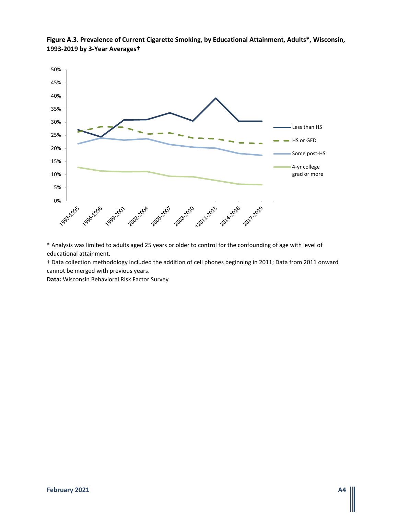

**Figure A.3. Prevalence of Current Cigarette Smoking, by Educational Attainment, Adults\*, Wisconsin, 1993-2019 by 3-Year Averages†**

\* Analysis was limited to adults aged 25 years or older to control for the confounding of age with level of educational attainment.

† Data collection methodology included the addition of cell phones beginning in 2011; Data from 2011 onward cannot be merged with previous years.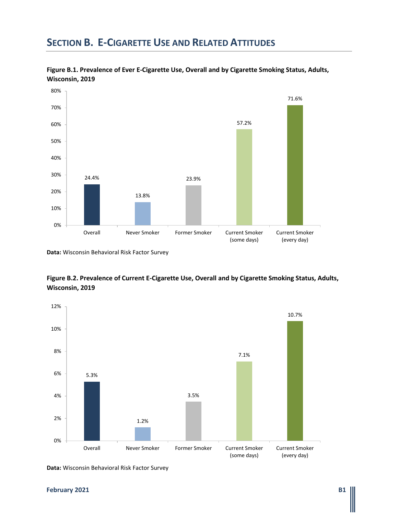# **SECTION B. E-CIGARETTE USE AND RELATED ATTITUDES**



**Figure B.1. Prevalence of Ever E-Cigarette Use, Overall and by Cigarette Smoking Status, Adults, Wisconsin, 2019**





**Data:** Wisconsin Behavioral Risk Factor Survey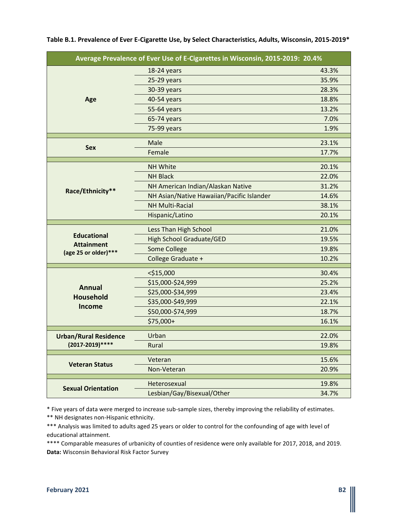|                                           | Average Prevalence of Ever Use of E-Cigarettes in Wisconsin, 2015-2019: 20.4% |       |
|-------------------------------------------|-------------------------------------------------------------------------------|-------|
|                                           | 18-24 years                                                                   | 43.3% |
|                                           | 25-29 years                                                                   | 35.9% |
|                                           | 30-39 years                                                                   | 28.3% |
| Age                                       | 40-54 years                                                                   | 18.8% |
|                                           | 55-64 years                                                                   | 13.2% |
|                                           | 65-74 years                                                                   | 7.0%  |
|                                           | 75-99 years                                                                   | 1.9%  |
|                                           | Male                                                                          | 23.1% |
| <b>Sex</b>                                | Female                                                                        | 17.7% |
|                                           | <b>NH White</b>                                                               | 20.1% |
|                                           | <b>NH Black</b>                                                               | 22.0% |
|                                           | NH American Indian/Alaskan Native                                             | 31.2% |
| Race/Ethnicity**                          | NH Asian/Native Hawaiian/Pacific Islander                                     | 14.6% |
|                                           | <b>NH Multi-Racial</b>                                                        | 38.1% |
|                                           | Hispanic/Latino                                                               | 20.1% |
|                                           | Less Than High School                                                         | 21.0% |
| <b>Educational</b>                        | <b>High School Graduate/GED</b>                                               | 19.5% |
| <b>Attainment</b><br>(age 25 or older)*** | Some College                                                                  | 19.8% |
|                                           | College Graduate +                                                            | 10.2% |
|                                           | $<$ \$15,000                                                                  | 30.4% |
|                                           | \$15,000-\$24,999                                                             | 25.2% |
| <b>Annual</b>                             | \$25,000-\$34,999                                                             | 23.4% |
| <b>Household</b>                          | \$35,000-\$49,999                                                             | 22.1% |
| Income                                    | \$50,000-\$74,999                                                             | 18.7% |
|                                           | \$75,000+                                                                     | 16.1% |
| <b>Urban/Rural Residence</b>              | Urban                                                                         | 22.0% |
| (2017-2019)****                           | Rural                                                                         | 19.8% |
|                                           |                                                                               |       |
| <b>Veteran Status</b>                     | Veteran                                                                       | 15.6% |
|                                           | Non-Veteran                                                                   | 20.9% |
|                                           | Heterosexual                                                                  | 19.8% |
| <b>Sexual Orientation</b>                 | Lesbian/Gay/Bisexual/Other                                                    | 34.7% |

### **Table B.1. Prevalence of Ever E-Cigarette Use, by Select Characteristics, Adults, Wisconsin, 2015-2019\***

\* Five years of data were merged to increase sub-sample sizes, thereby improving the reliability of estimates. \*\* NH designates non-Hispanic ethnicity.

\*\*\* Analysis was limited to adults aged 25 years or older to control for the confounding of age with level of educational attainment.

\*\*\*\* Comparable measures of urbanicity of counties of residence were only available for 2017, 2018, and 2019. **Data:** Wisconsin Behavioral Risk Factor Survey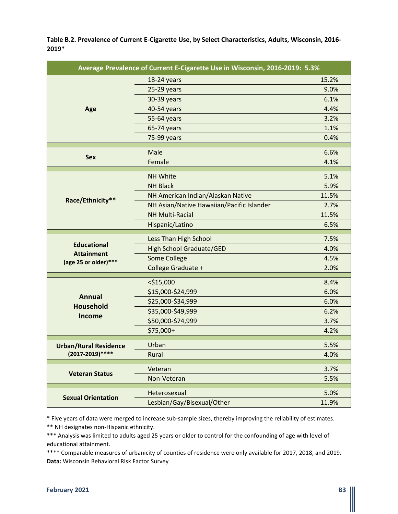**Table B.2. Prevalence of Current E-Cigarette Use, by Select Characteristics, Adults, Wisconsin, 2016- 2019\***

| Average Prevalence of Current E-Cigarette Use in Wisconsin, 2016-2019: 5.3% |                                           |       |
|-----------------------------------------------------------------------------|-------------------------------------------|-------|
|                                                                             | 18-24 years                               | 15.2% |
|                                                                             | 25-29 years                               | 9.0%  |
|                                                                             | 30-39 years                               | 6.1%  |
| Age                                                                         | 40-54 years                               | 4.4%  |
|                                                                             | 55-64 years                               | 3.2%  |
|                                                                             | 65-74 years                               | 1.1%  |
|                                                                             | 75-99 years                               | 0.4%  |
|                                                                             | Male                                      | 6.6%  |
| <b>Sex</b>                                                                  | Female                                    | 4.1%  |
|                                                                             | <b>NH White</b>                           | 5.1%  |
|                                                                             | <b>NH Black</b>                           | 5.9%  |
|                                                                             | NH American Indian/Alaskan Native         | 11.5% |
| Race/Ethnicity**                                                            | NH Asian/Native Hawaiian/Pacific Islander | 2.7%  |
|                                                                             | <b>NH Multi-Racial</b>                    | 11.5% |
|                                                                             | Hispanic/Latino                           | 6.5%  |
|                                                                             | Less Than High School                     | 7.5%  |
| <b>Educational</b><br><b>Attainment</b>                                     | <b>High School Graduate/GED</b>           | 4.0%  |
| (age 25 or older)***                                                        | <b>Some College</b>                       | 4.5%  |
|                                                                             | College Graduate +                        | 2.0%  |
|                                                                             | $<$ \$15,000                              | 8.4%  |
|                                                                             | \$15,000-\$24,999                         | 6.0%  |
| <b>Annual</b>                                                               | \$25,000-\$34,999                         | 6.0%  |
| <b>Household</b>                                                            | \$35,000-\$49,999                         | 6.2%  |
| <b>Income</b>                                                               | \$50,000-\$74,999                         | 3.7%  |
|                                                                             | \$75,000+                                 | 4.2%  |
| <b>Urban/Rural Residence</b>                                                | Urban                                     | 5.5%  |
| (2017-2019)****                                                             | Rural                                     | 4.0%  |
|                                                                             |                                           |       |
| <b>Veteran Status</b>                                                       | Veteran                                   | 3.7%  |
|                                                                             | Non-Veteran                               | 5.5%  |
|                                                                             | Heterosexual                              | 5.0%  |
| <b>Sexual Orientation</b>                                                   | Lesbian/Gay/Bisexual/Other                | 11.9% |

\* Five years of data were merged to increase sub-sample sizes, thereby improving the reliability of estimates.

\*\* NH designates non-Hispanic ethnicity.

\*\*\* Analysis was limited to adults aged 25 years or older to control for the confounding of age with level of educational attainment.

\*\*\*\* Comparable measures of urbanicity of counties of residence were only available for 2017, 2018, and 2019. **Data:** Wisconsin Behavioral Risk Factor Survey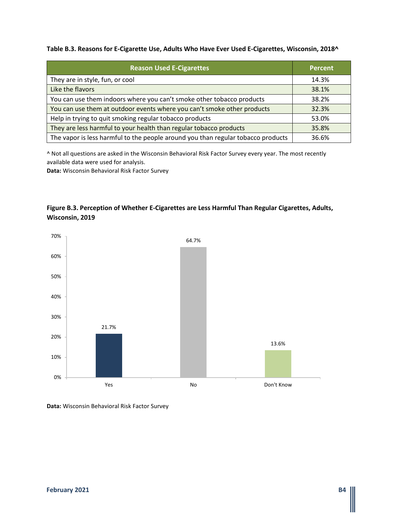### **Table B.3. Reasons for E-Cigarette Use, Adults Who Have Ever Used E-Cigarettes, Wisconsin, 2018^**

| <b>Reason Used E-Cigarettes</b>                                                  | <b>Percent</b> |
|----------------------------------------------------------------------------------|----------------|
| They are in style, fun, or cool                                                  | 14.3%          |
| Like the flavors                                                                 | 38.1%          |
| You can use them indoors where you can't smoke other tobacco products            | 38.2%          |
| You can use them at outdoor events where you can't smoke other products          | 32.3%          |
| Help in trying to quit smoking regular tobacco products                          | 53.0%          |
| They are less harmful to your health than regular tobacco products               | 35.8%          |
| The vapor is less harmful to the people around you than regular tobacco products | 36.6%          |

^ Not all questions are asked in the Wisconsin Behavioral Risk Factor Survey every year. The most recently available data were used for analysis.

**Data:** Wisconsin Behavioral Risk Factor Survey

### **Figure B.3. Perception of Whether E-Cigarettes are Less Harmful Than Regular Cigarettes, Adults, Wisconsin, 2019**

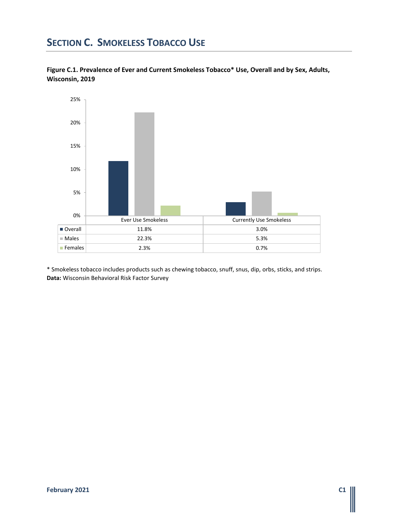# **SECTION C. SMOKELESS TOBACCO USE**





\* Smokeless tobacco includes products such as chewing tobacco, snuff, snus, dip, orbs, sticks, and strips. **Data:** Wisconsin Behavioral Risk Factor Survey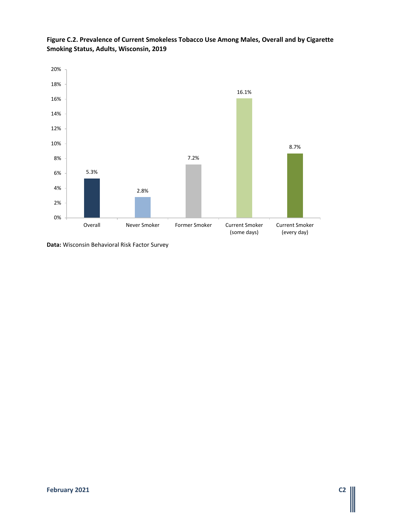

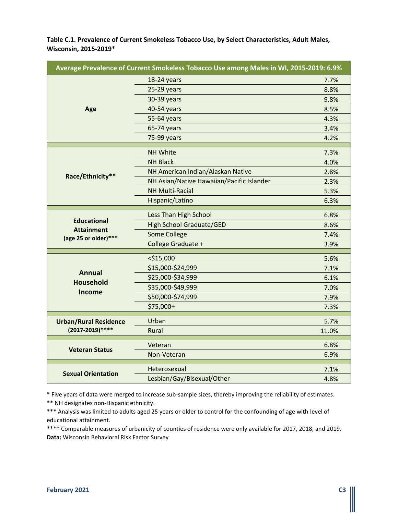**Table C.1. Prevalence of Current Smokeless Tobacco Use, by Select Characteristics, Adult Males, Wisconsin, 2015-2019\***

| Average Prevalence of Current Smokeless Tobacco Use among Males in WI, 2015-2019: 6.9% |                                           |              |
|----------------------------------------------------------------------------------------|-------------------------------------------|--------------|
|                                                                                        | 18-24 years                               | 7.7%         |
|                                                                                        | 25-29 years                               | 8.8%         |
|                                                                                        | 30-39 years                               | 9.8%         |
| Age                                                                                    | 40-54 years                               | 8.5%         |
|                                                                                        | 55-64 years                               | 4.3%         |
|                                                                                        | 65-74 years                               | 3.4%         |
|                                                                                        | 75-99 years                               | 4.2%         |
|                                                                                        | <b>NH White</b>                           | 7.3%         |
|                                                                                        | <b>NH Black</b>                           | 4.0%         |
|                                                                                        | NH American Indian/Alaskan Native         |              |
| Race/Ethnicity**                                                                       | NH Asian/Native Hawaiian/Pacific Islander | 2.8%<br>2.3% |
|                                                                                        | <b>NH Multi-Racial</b>                    |              |
|                                                                                        | Hispanic/Latino                           | 5.3%         |
|                                                                                        |                                           | 6.3%         |
|                                                                                        | Less Than High School                     | 6.8%         |
| <b>Educational</b><br><b>Attainment</b>                                                | <b>High School Graduate/GED</b>           | 8.6%         |
| (age 25 or older)***                                                                   | <b>Some College</b>                       | 7.4%         |
|                                                                                        | College Graduate +                        | 3.9%         |
|                                                                                        | $<$ \$15,000                              | 5.6%         |
|                                                                                        | \$15,000-\$24,999                         | 7.1%         |
| <b>Annual</b>                                                                          | \$25,000-\$34,999                         | 6.1%         |
| <b>Household</b>                                                                       | \$35,000-\$49,999                         | 7.0%         |
| Income                                                                                 | \$50,000-\$74,999                         | 7.9%         |
|                                                                                        | \$75,000+                                 | 7.3%         |
|                                                                                        |                                           |              |
| <b>Urban/Rural Residence</b>                                                           | Urban                                     | 5.7%         |
| (2017-2019)****                                                                        | Rural                                     | 11.0%        |
|                                                                                        | Veteran                                   | 6.8%         |
| <b>Veteran Status</b>                                                                  | Non-Veteran                               | 6.9%         |
|                                                                                        |                                           | 7.1%         |
| <b>Sexual Orientation</b>                                                              | Heterosexual                              |              |
|                                                                                        | Lesbian/Gay/Bisexual/Other                | 4.8%         |

\* Five years of data were merged to increase sub-sample sizes, thereby improving the reliability of estimates.

\*\* NH designates non-Hispanic ethnicity.

\*\*\* Analysis was limited to adults aged 25 years or older to control for the confounding of age with level of educational attainment.

\*\*\*\* Comparable measures of urbanicity of counties of residence were only available for 2017, 2018, and 2019. **Data:** Wisconsin Behavioral Risk Factor Survey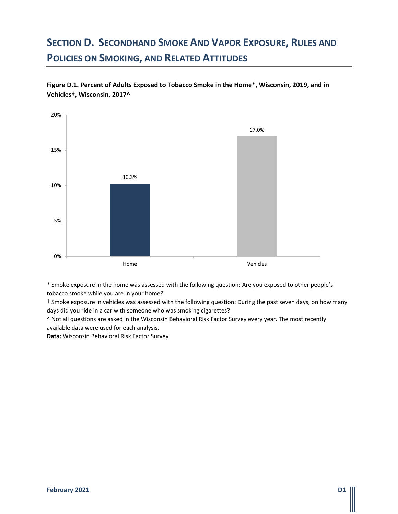# **SECTION D. SECONDHAND SMOKE AND VAPOR EXPOSURE, RULES AND POLICIES ON SMOKING, AND RELATED ATTITUDES**

**Figure D.1. Percent of Adults Exposed to Tobacco Smoke in the Home\*, Wisconsin, 2019, and in Vehicles†, Wisconsin, 2017^**



\* Smoke exposure in the home was assessed with the following question: Are you exposed to other people's tobacco smoke while you are in your home?

† Smoke exposure in vehicles was assessed with the following question: During the past seven days, on how many days did you ride in a car with someone who was smoking cigarettes?

^ Not all questions are asked in the Wisconsin Behavioral Risk Factor Survey every year. The most recently available data were used for each analysis.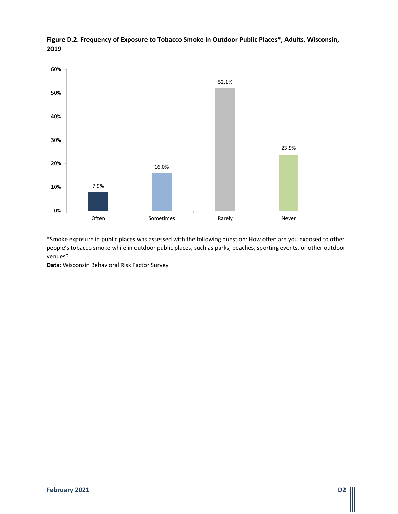

**Figure D.2. Frequency of Exposure to Tobacco Smoke in Outdoor Public Places\*, Adults, Wisconsin, 2019**

\*Smoke exposure in public places was assessed with the following question: How often are you exposed to other people's tobacco smoke while in outdoor public places, such as parks, beaches, sporting events, or other outdoor venues?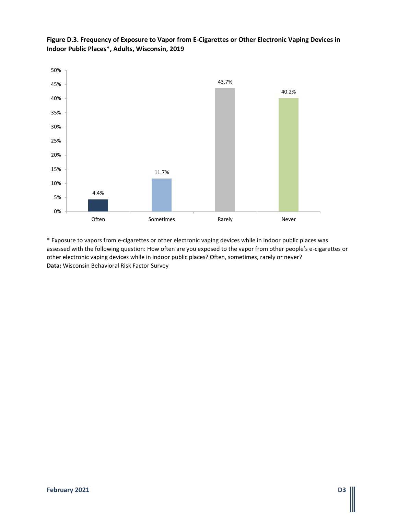

**Figure D.3. Frequency of Exposure to Vapor from E-Cigarettes or Other Electronic Vaping Devices in Indoor Public Places\*, Adults, Wisconsin, 2019**

\* Exposure to vapors from e-cigarettes or other electronic vaping devices while in indoor public places was assessed with the following question: How often are you exposed to the vapor from other people's e-cigarettes or other electronic vaping devices while in indoor public places? Often, sometimes, rarely or never? **Data:** Wisconsin Behavioral Risk Factor Survey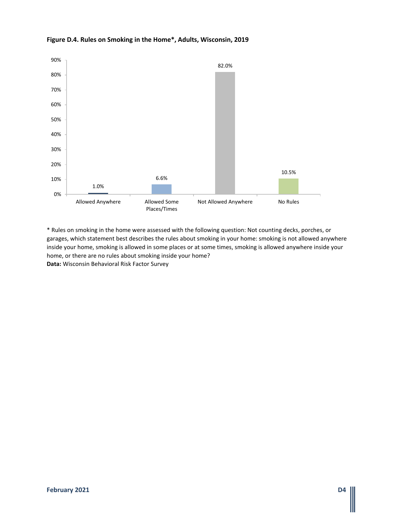

### **Figure D.4. Rules on Smoking in the Home\*, Adults, Wisconsin, 2019**

\* Rules on smoking in the home were assessed with the following question: Not counting decks, porches, or garages, which statement best describes the rules about smoking in your home: smoking is not allowed anywhere inside your home, smoking is allowed in some places or at some times, smoking is allowed anywhere inside your home, or there are no rules about smoking inside your home? **Data:** Wisconsin Behavioral Risk Factor Survey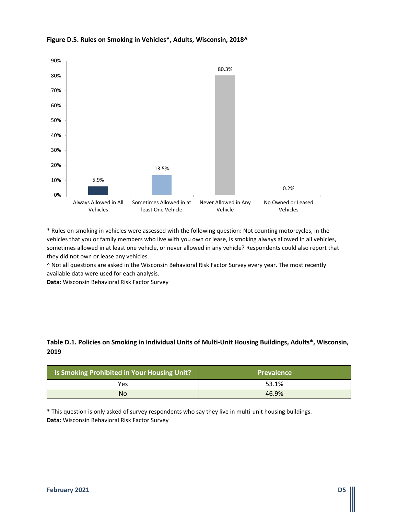

### **Figure D.5. Rules on Smoking in Vehicles\*, Adults, Wisconsin, 2018^**

\* Rules on smoking in vehicles were assessed with the following question: Not counting motorcycles, in the vehicles that you or family members who live with you own or lease, is smoking always allowed in all vehicles, sometimes allowed in at least one vehicle, or never allowed in any vehicle? Respondents could also report that they did not own or lease any vehicles.

^ Not all questions are asked in the Wisconsin Behavioral Risk Factor Survey every year. The most recently available data were used for each analysis.

**Data:** Wisconsin Behavioral Risk Factor Survey

### **Table D.1. Policies on Smoking in Individual Units of Multi-Unit Housing Buildings, Adults\*, Wisconsin, 2019**

| <b>Is Smoking Prohibited in Your Housing Unit?</b> | <b>Prevalence</b> |
|----------------------------------------------------|-------------------|
| Yes                                                | 53.1%             |
| <b>No</b>                                          | 46.9%             |

\* This question is only asked of survey respondents who say they live in multi-unit housing buildings. **Data:** Wisconsin Behavioral Risk Factor Survey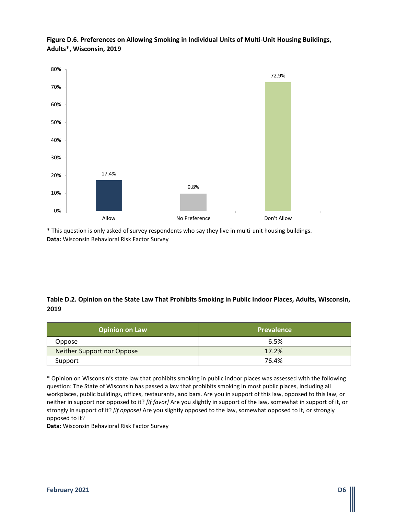

**Figure D.6. Preferences on Allowing Smoking in Individual Units of Multi-Unit Housing Buildings, Adults\*, Wisconsin, 2019**

\* This question is only asked of survey respondents who say they live in multi-unit housing buildings. **Data:** Wisconsin Behavioral Risk Factor Survey

### **Table D.2. Opinion on the State Law That Prohibits Smoking in Public Indoor Places, Adults, Wisconsin, 2019**

| <b>Opinion on Law</b>      | <b>Prevalence</b> |
|----------------------------|-------------------|
| Oppose                     | 6.5%              |
| Neither Support nor Oppose | 17.2%             |
| Support                    | 76.4%             |

\* Opinion on Wisconsin's state law that prohibits smoking in public indoor places was assessed with the following question: The State of Wisconsin has passed a law that prohibits smoking in most public places, including all workplaces, public buildings, offices, restaurants, and bars. Are you in support of this law, opposed to this law, or neither in support nor opposed to it? *[If favor]* Are you slightly in support of the law, somewhat in support of it, or strongly in support of it? *[If oppose]* Are you slightly opposed to the law, somewhat opposed to it, or strongly opposed to it?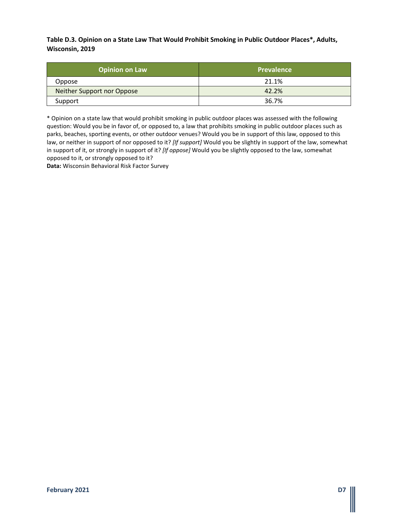**Table D.3. Opinion on a State Law That Would Prohibit Smoking in Public Outdoor Places\*, Adults, Wisconsin, 2019**

| <b>Opinion on Law</b>      | <b>Prevalence</b> |
|----------------------------|-------------------|
| Oppose                     | 21.1%             |
| Neither Support nor Oppose | 42.2%             |
| Support                    | 36.7%             |

\* Opinion on a state law that would prohibit smoking in public outdoor places was assessed with the following question: Would you be in favor of, or opposed to, a law that prohibits smoking in public outdoor places such as parks, beaches, sporting events, or other outdoor venues? Would you be in support of this law, opposed to this law, or neither in support of nor opposed to it? *[If support]* Would you be slightly in support of the law, somewhat in support of it, or strongly in support of it? *[If oppose]* Would you be slightly opposed to the law, somewhat opposed to it, or strongly opposed to it?